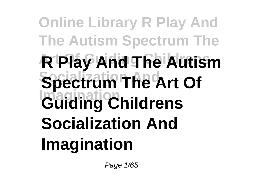## **Online Library R Play And The Autism Spectrum The Art Of Guiding Childrens R Play And The Autism Spectrum The Art Of Imagination Guiding Childrens Socialization And Imagination**

Page 1/65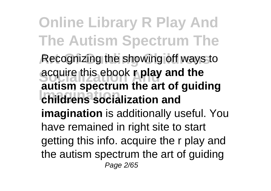**Online Library R Play And The Autism Spectrum The** Recognizing the showing off ways to **Socialization And** acquire this ebook **r play and the Imagination childrens socialization and autism spectrum the art of guiding imagination** is additionally useful. You have remained in right site to start getting this info. acquire the r play and the autism spectrum the art of guiding Page 2/65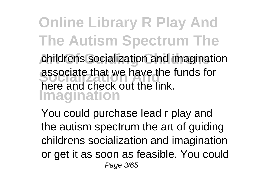**Online Library R Play And The Autism Spectrum The** childrens socialization and imagination associate that we have the and check out the link. **Imagination** associate that we have the funds for

You could purchase lead r play and the autism spectrum the art of guiding childrens socialization and imagination or get it as soon as feasible. You could Page 3/65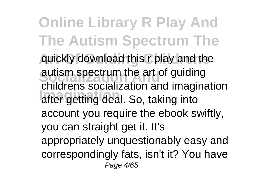**Online Library R Play And The Autism Spectrum The Art Of Guiding Childrens** quickly download this r play and the autism spectrum the art or guiding<br>childrens socialization and imagination **Imagination** after getting deal. So, taking into autism spectrum the art of guiding account you require the ebook swiftly, you can straight get it. It's appropriately unquestionably easy and correspondingly fats, isn't it? You have Page 4/65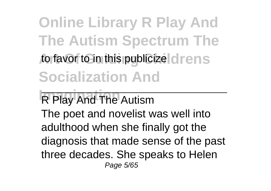**Online Library R Play And The Autism Spectrum The** to favor to in this publicize drens **Socialization And**

**R Play And The Autism** The poet and novelist was well into adulthood when she finally got the diagnosis that made sense of the past three decades. She speaks to Helen Page 5/65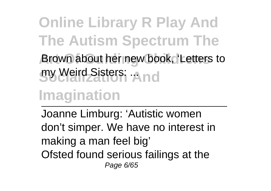**Online Library R Play And The Autism Spectrum The Art Of Guiding Childrens** Brown about her new book, 'Letters to **gy Weird Sisters: And** 

**Imagination**

Joanne Limburg: 'Autistic women don't simper. We have no interest in making a man feel big' Ofsted found serious failings at the Page 6/65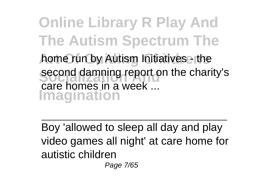**Online Library R Play And The Autism Spectrum The** home run by Autism Initiatives - the second damning report on the charity's **Imagination** care homes in a week ...

Boy 'allowed to sleep all day and play video games all night' at care home for autistic children

Page 7/65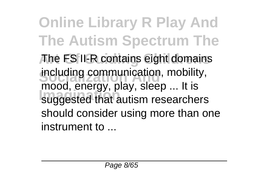**Online Library R Play And The Autism Spectrum The Art Of Guiding Childrens** The FS II-R contains eight domains including communication, mobility, **Imagination** suggested that autism researchers mood, energy, play, sleep ... It is should consider using more than one instrument to ...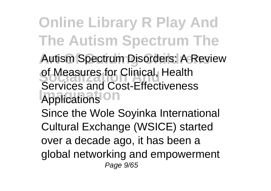**Online Library R Play And The Autism Spectrum The** Autism Spectrum Disorders: A Review of Measures for Clinical, Health **Imagination** Services and Cost-Effectiveness Since the Wole Soyinka International

Cultural Exchange (WSICE) started over a decade ago, it has been a

global networking and empowerment Page 9/65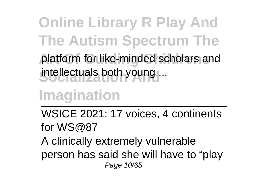**Online Library R Play And The Autism Spectrum The** platform for like-minded scholars and intellectuals both young ...

**Imagination**

WSICE 2021: 17 voices, 4 continents for WS@87 A clinically extremely vulnerable person has said she will have to "play

Page 10/65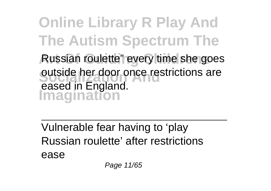**Online Library R Play And The Autism Spectrum The Art Of Guiding Childrens** Russian roulette" every time she goes **Socialization Andrew Anderson**<br> **Socialization Imagination** eased in England.

Vulnerable fear having to 'play Russian roulette' after restrictions ease

Page 11/65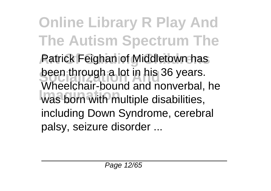**Online Library R Play And The Autism Spectrum The** Patrick Feighan of Middletown has **been through a lot in his 36 years. Imagination** was born with multiple disabilities, Wheelchair-bound and nonverbal, he including Down Syndrome, cerebral palsy, seizure disorder ...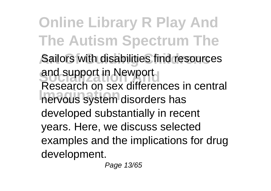**Online Library R Play And The Autism Spectrum The** Sailors with disabilities find resources and support in Newport **Increased on the contract of the nervous system disorders has** Research on sex differences in central developed substantially in recent years. Here, we discuss selected examples and the implications for drug development.

Page 13/65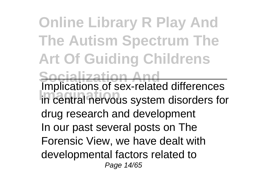**Online Library R Play And The Autism Spectrum The Art Of Guiding Childrens Socialization And Implications of sex-related differences** in central nervous system disorders for drug research and development In our past several posts on The Forensic View, we have dealt with developmental factors related to Page 14/65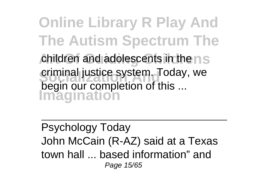**Online Library R Play And The Autism Spectrum The** children and adolescents in the n<sub>S</sub> criminal justice system. Today, we **Imagination** begin our completion of this ...

Psychology Today John McCain (R-AZ) said at a Texas town hall ... based information" and Page 15/65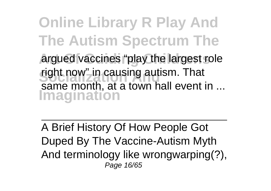**Online Library R Play And The Autism Spectrum The** argued vaccines "play the largest role right now" in causing autism. That<br>same month, at a town hall event in ... **Imagination** right now" in causing autism. That

A Brief History Of How People Got Duped By The Vaccine-Autism Myth And terminology like wrongwarping(?), Page 16/65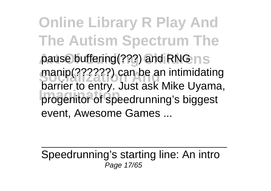**Online Library R Play And The Autism Spectrum The** pause buffering(???) and RNG n s manip(??????) can be an intimidating<br>hermontage and the alliance **Imagination** progenitor of speedrunning's biggest barrier to entry. Just ask Mike Uyama, event, Awesome Games ...

Speedrunning's starting line: An intro Page 17/65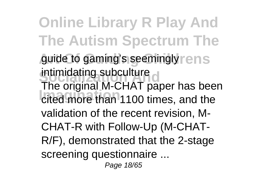**Online Library R Play And The Autism Spectrum The** guide to gaming's seemingly rens Intimidating subculture<br>The original M-CHAT paper has been **Imagination** cited more than 1100 times, and the intimidating subculture validation of the recent revision, M-CHAT-R with Follow-Up (M-CHAT-R/F), demonstrated that the 2-stage screening questionnaire ... Page 18/65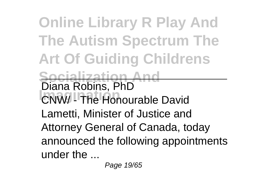**Online Library R Play And The Autism Spectrum The Art Of Guiding Childrens Socialization And** Diana Robins, PhD<br>CNW/ - The Honourable David Lametti, Minister of Justice and Attorney General of Canada, today announced the following appointments under the ...

Page 19/65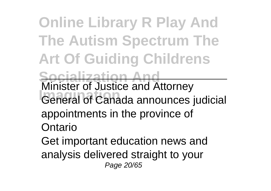**Online Library R Play And The Autism Spectrum The Art Of Guiding Childrens Socialization And**<br>Minister of Justice and Attorney Minister of Justice and Attorney<br>General of Canada announces judicial appointments in the province of Ontario Get important education news and analysis delivered straight to your Page 20/65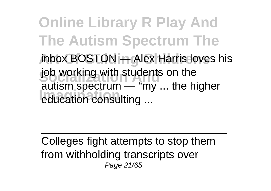**Online Library R Play And The Autism Spectrum The** Inbox BOSTON **++ Alex Harris loves** his job working with students on the **Imagination** education consulting ... autism spectrum — "my ... the higher

Colleges fight attempts to stop them from withholding transcripts over Page 21/65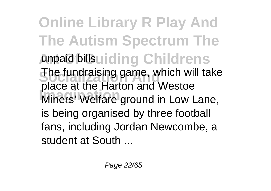**Online Library R Play And The Autism Spectrum The** Ampaid billsuiding Childrens The fundraising game, which will take **Imagination** Miners' Welfare ground in Low Lane, place at the Harton and Westoe is being organised by three football fans, including Jordan Newcombe, a student at South ...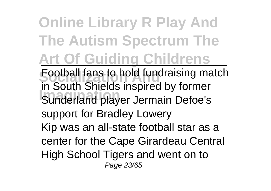**Online Library R Play And The Autism Spectrum The Art Of Guiding Childrens**

**Football fans to hold fundraising match Implement of the Imagination**<br>
Sunderland player Jermain Defoe's in South Shields inspired by former support for Bradley Lowery Kip was an all-state football star as a center for the Cape Girardeau Central High School Tigers and went on to Page 23/65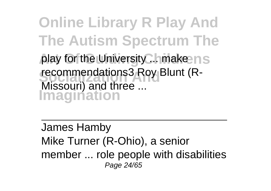**Online Library R Play And The Autism Spectrum The** play for the University... make ns recommendations3 Roy Blunt (R-**Imagination** Missouri) and three ...

James Hamby Mike Turner (R-Ohio), a senior member ... role people with disabilities Page 24/65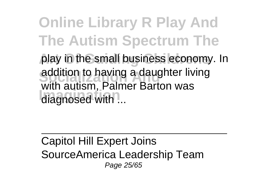**Online Library R Play And The Autism Spectrum The** play in the small business economy. In addition to having a daughter living **Immagination**, *I* and with autism, Palmer Barton was

Capitol Hill Expert Joins SourceAmerica Leadership Team Page 25/65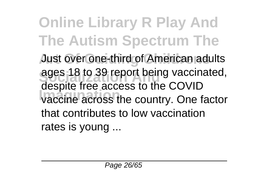**Online Library R Play And The Autism Spectrum The Just over one-third of American adults** ages 18 to 39 report being vaccinated, **Imagination** vaccine across the country. One factor despite free access to the COVID that contributes to low vaccination rates is young ...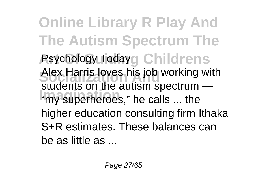**Online Library R Play And The Autism Spectrum The Psychology Todayg Childrens** Alex Harris loves his job working with **Imagination** "my superheroes," he calls ... the students on the autism spectrum higher education consulting firm Ithaka S+R estimates. These balances can be as little as ...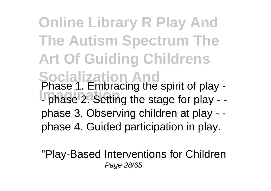**Online Library R Play And The Autism Spectrum The Art Of Guiding Childrens Socialization And** Phase 1. Embracing the spirit of play - **Imagination** - phase 2. Setting the stage for play - phase 3. Observing children at play - phase 4. Guided participation in play.

"Play-Based Interventions for Children Page 28/65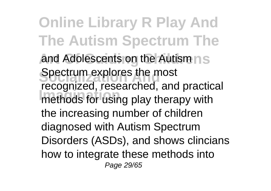**Online Library R Play And The Autism Spectrum The** and Adolescents on the Autism ns **Spectrum explores the most Imagination** methods for using play therapy with recognized, researched, and practical the increasing number of children diagnosed with Autism Spectrum Disorders (ASDs), and shows clincians how to integrate these methods into Page 29/65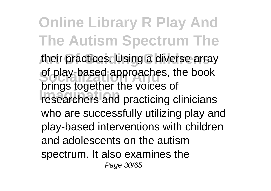**Online Library R Play And The Autism Spectrum The** their practices. Using a diverse array of play-based approaches, the book **Image together the versee of**<br>researchers and practicing clinicians brings together the voices of who are successfully utilizing play and play-based interventions with children and adolescents on the autism spectrum. It also examines the Page 30/65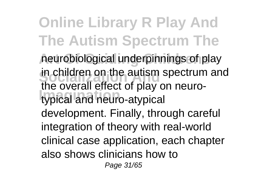**Online Library R Play And The Autism Spectrum The Art Of Guiding Childrens** neurobiological underpinnings of play in children on the autism spectrum and **Imagination** typical and neuro-atypical the overall effect of play on neurodevelopment. Finally, through careful integration of theory with real-world clinical case application, each chapter also shows clinicians how to Page 31/65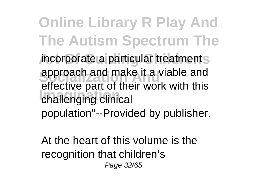**Online Library R Play And The Autism Spectrum The** *incorporate a particular treatments* approach and make it a viable and<br>effective part of their work with this **Imagina** challenging clinical approach and make it a viable and population"--Provided by publisher.

At the heart of this volume is the recognition that children's Page 32/65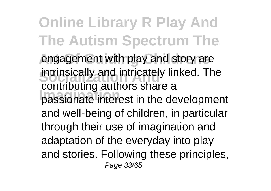**Online Library R Play And The Autism Spectrum The** engagement with play and story are intrinsically and intricately linked. The **Imagination** passionate interest in the development contributing authors share a and well-being of children, in particular through their use of imagination and adaptation of the everyday into play and stories. Following these principles, Page 33/65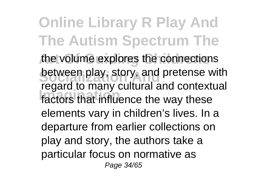**Online Library R Play And The Autism Spectrum The** the volume explores the connections **between play, story, and pretense with Imagination** factors that influence the way these regard to many cultural and contextual elements vary in children's lives. In a departure from earlier collections on play and story, the authors take a particular focus on normative as Page 34/65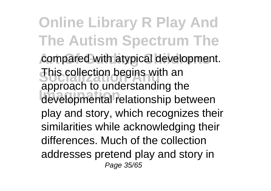**Online Library R Play And The Autism Spectrum The** compared with atypical development. **This collection begins with an Imagination** developmental relationship between approach to understanding the play and story, which recognizes their similarities while acknowledging their differences. Much of the collection addresses pretend play and story in Page 35/65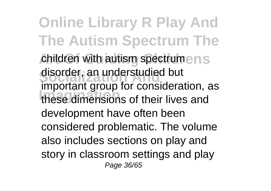**Online Library R Play And The Autism Spectrum The** children with autism spectrumens disorder, an understudied but **Imagination** these dimensions of their lives and important group for consideration, as development have often been considered problematic. The volume also includes sections on play and story in classroom settings and play Page 36/65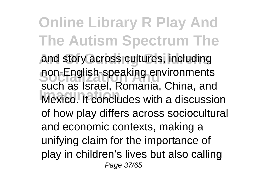**Online Library R Play And The Autism Spectrum The Art Of Guiding Childrens** and story across cultures, including **Socialization Andrew Andrew Persons China and Imagination** Mexico. It concludes with a discussion such as Israel, Romania, China, and of how play differs across sociocultural and economic contexts, making a unifying claim for the importance of play in children's lives but also calling Page 37/65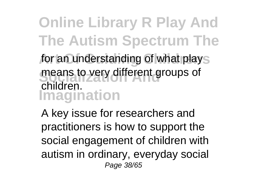**Online Library R Play And The Autism Spectrum The** for an understanding of what plays means to very different groups of **Imagination** children.

A key issue for researchers and practitioners is how to support the social engagement of children with autism in ordinary, everyday social Page 38/65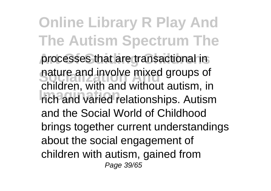**Online Library R Play And The Autism Spectrum The** processes that are transactional in nature and involve mixed groups of **Imagination** rich and varied relationships. Autism children, with and without autism, in and the Social World of Childhood brings together current understandings about the social engagement of children with autism, gained from Page 39/65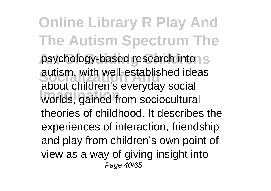**Online Library R Play And The Autism Spectrum The** psychology-based research into autism, with well-established ideas **Imagination** worlds, gained from sociocultural about children's everyday social theories of childhood. It describes the experiences of interaction, friendship and play from children's own point of view as a way of giving insight into Page 40/65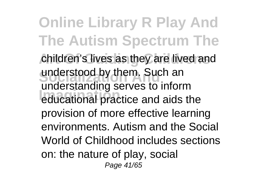**Online Library R Play And The Autism Spectrum The** children's lives as they are lived and understood by them. Such an **Imagination** educational practice and aids the understanding serves to inform provision of more effective learning environments. Autism and the Social World of Childhood includes sections on: the nature of play, social Page 41/65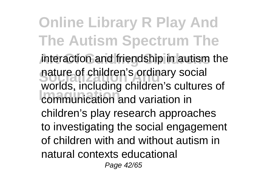**Online Library R Play And The Autism Spectrum The** interaction and friendship in autism the nature of children's ordinary social **Imagination** communication and variation in worlds, including children's cultures of children's play research approaches to investigating the social engagement of children with and without autism in natural contexts educational

Page 42/65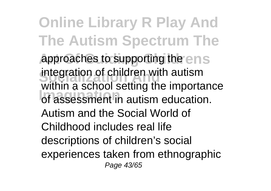**Online Library R Play And The Autism Spectrum The** approaches to supporting the ens integration of children with autism **Imagination** of assessment in autism education. within a school setting the importance Autism and the Social World of Childhood includes real life descriptions of children's social experiences taken from ethnographic Page 43/65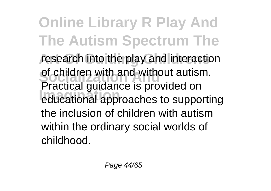**Online Library R Play And The Autism Spectrum The** research into the play and interaction of children with and without autisi<br>Practical guidance is provided on **Imagination** educational approaches to supporting of children with and without autism. the inclusion of children with autism within the ordinary social worlds of childhood.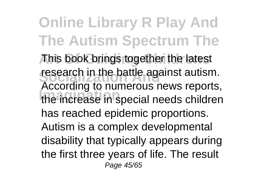**Online Library R Play And The Autism Spectrum The** This book brings together the latest **research in the battle against autism. Imagination** the increase in special needs children According to numerous news reports, has reached epidemic proportions. Autism is a complex developmental disability that typically appears during the first three years of life. The result Page 45/65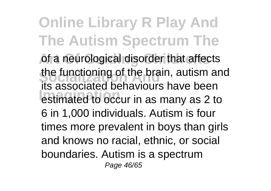**Online Library R Play And The Autism Spectrum The** of a neurological disorder that affects the functioning of the brain, autism and **Imagination** estimated to occur in as many as 2 to its associated behaviours have been 6 in 1,000 individuals. Autism is four times more prevalent in boys than girls and knows no racial, ethnic, or social boundaries. Autism is a spectrum Page 46/65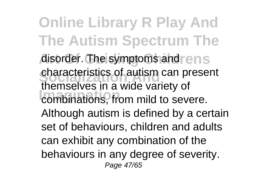**Online Library R Play And The Autism Spectrum The** disorder. The symptoms and rens **Characteristics of autism can present Imagination** combinations, from mild to severe. themselves in a wide variety of Although autism is defined by a certain set of behaviours, children and adults can exhibit any combination of the behaviours in any degree of severity. Page 47/65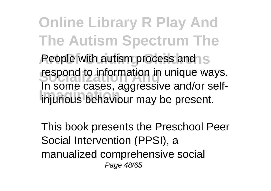**Online Library R Play And The Autism Spectrum The People with autism process and S respond to information in unique ways. Imagination** injurious behaviour may be present. In some cases, aggressive and/or self-

This book presents the Preschool Peer Social Intervention (PPSI), a manualized comprehensive social Page 48/65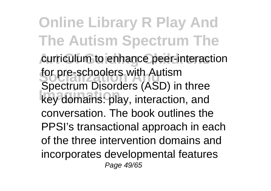**Online Library R Play And The Autism Spectrum The** curriculum to enhance peer-interaction for pre-schoolers with Autism **Imagination** key domains: play, interaction, and Spectrum Disorders (ASD) in three conversation. The book outlines the PPSI's transactional approach in each of the three intervention domains and incorporates developmental features Page 49/65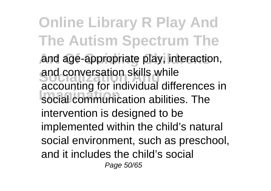**Online Library R Play And The Autism Spectrum The** and age-appropriate play, interaction, and conversation skills while<br>accounting for individual differences in **Imagination** social communication abilities. The and conversation skills while intervention is designed to be implemented within the child's natural social environment, such as preschool, and it includes the child's social Page 50/65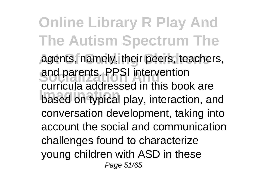**Online Library R Play And The Autism Spectrum The** agents, namely, their peers, teachers, and parents. PPSI intervention<br>curricula addressed in this book are based on typical play, interaction, and and parents. PPSI intervention conversation development, taking into account the social and communication challenges found to characterize young children with ASD in these Page 51/65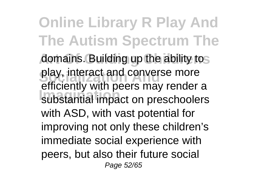**Online Library R Play And The Autism Spectrum The** domains. Building up the ability tos play, interact and converse more **Imagination** substantial impact on preschoolers efficiently with peers may render a with ASD, with vast potential for improving not only these children's immediate social experience with peers, but also their future social Page 52/65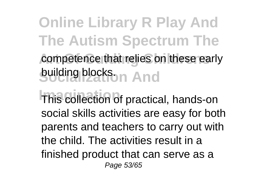**Online Library R Play And The Autism Spectrum The** competence that relies on these early **suiding blocks.** And

**This collection of practical, hands-on** social skills activities are easy for both parents and teachers to carry out with the child. The activities result in a finished product that can serve as a Page 53/65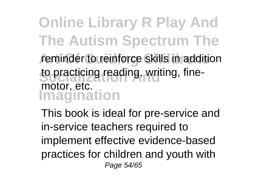**Online Library R Play And The Autism Spectrum The** reminder to reinforce skills in addition to practicing reading, writing, fine-**Imagination** motor, etc.

This book is ideal for pre-service and in-service teachers required to implement effective evidence-based practices for children and youth with Page 54/65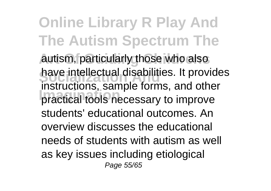**Online Library R Play And The Autism Spectrum The** autism, particularly those who also have intellectual disabilities. It provides **Imagination** practical tools necessary to improve instructions, sample forms, and other students' educational outcomes. An overview discusses the educational needs of students with autism as well as key issues including etiological Page 55/65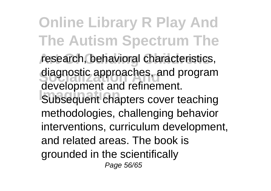**Online Library R Play And The Autism Spectrum The** research, behavioral characteristics, diagnostic approaches, and program **Imagination** Subsequent chapters cover teaching development and refinement. methodologies, challenging behavior interventions, curriculum development, and related areas. The book is grounded in the scientifically Page 56/65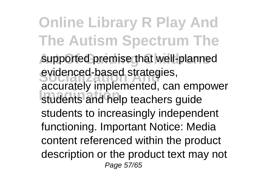**Online Library R Play And The Autism Spectrum The** supported premise that well-planned evidenced-based strategies, **Imagination** students and help teachers guide accurately implemented, can empower students to increasingly independent functioning. Important Notice: Media content referenced within the product description or the product text may not Page 57/65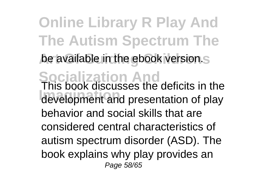**Online Library R Play And The Autism Spectrum The** be available in the ebook version.st **Socialization And** This book discusses the deficits in the **Imagination** development and presentation of play behavior and social skills that are considered central characteristics of autism spectrum disorder (ASD). The book explains why play provides an Page 58/65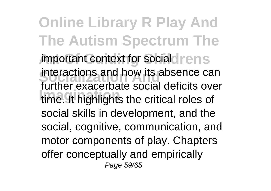**Online Library R Play And The Autism Spectrum The** *important context for socialdrens* Interactions and now its absence can<br>further exacerbate social deficits over **Imagination** time. It highlights the critical roles of interactions and how its absence can social skills in development, and the social, cognitive, communication, and motor components of play. Chapters offer conceptually and empirically Page 59/65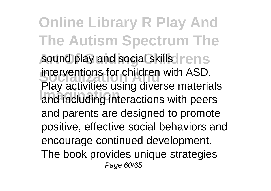**Online Library R Play And The Autism Spectrum The** sound play and social skills rens Interventions for children with ASD.<br>Play activities using diverse materials **Imagination** and including interactions with peers interventions for children with ASD. and parents are designed to promote positive, effective social behaviors and encourage continued development. The book provides unique strategies Page 60/65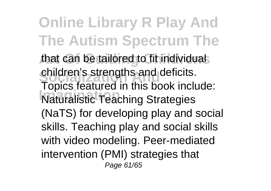**Online Library R Play And The Autism Spectrum The** that can be tailored to fit individuals children's strengths and deficits. **Imagination** Naturalistic Teaching Strategies Topics featured in this book include: (NaTS) for developing play and social skills. Teaching play and social skills with video modeling. Peer-mediated intervention (PMI) strategies that Page 61/65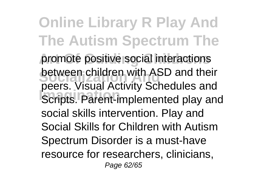**Online Library R Play And The Autism Spectrum The** promote positive social interactions **Socialization And** peers. Visual Activity Schedules and **Imagination**<br> **Imagination**<br> **Implemented play and** between children with ASD and their social skills intervention. Play and Social Skills for Children with Autism Spectrum Disorder is a must-have resource for researchers, clinicians, Page 62/65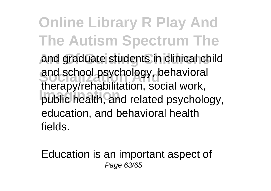**Online Library R Play And The Autism Spectrum The** and graduate students in clinical child and school psychology, behavioral<br>the candidate hillich possible used **Imagination** public health, and related psychology, therapy/rehabilitation, social work, education, and behavioral health fields.

Education is an important aspect of Page 63/65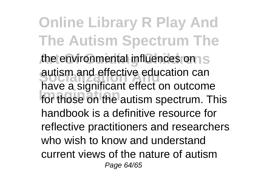**Online Library R Play And The Autism Spectrum The** the environmental influences on S autism and effective education can<br>have a significant effect on outcome **Imagination** for those on the autism spectrum. This autism and effective education can handbook is a definitive resource for reflective practitioners and researchers who wish to know and understand current views of the nature of autism Page 64/65